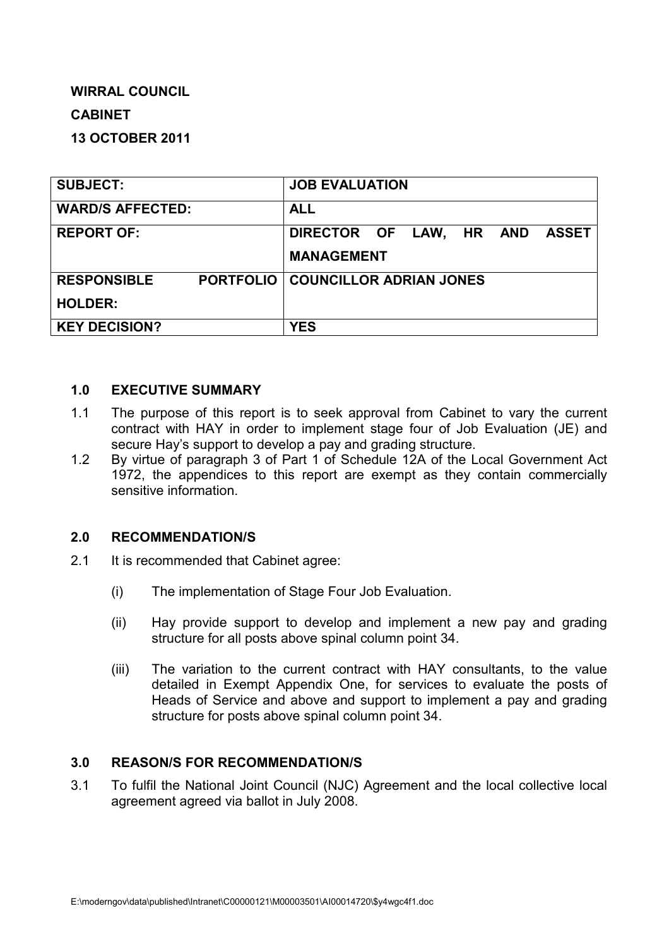# **WIRRAL COUNCIL CABINET**

# **13 OCTOBER 2011**

| <b>SUBJECT:</b>         | <b>JOB EVALUATION</b>                      |
|-------------------------|--------------------------------------------|
| <b>WARD/S AFFECTED:</b> | <b>ALL</b>                                 |
| <b>REPORT OF:</b>       | DIRECTOR OF LAW, HR AND<br><b>ASSET</b>    |
|                         | <b>MANAGEMENT</b>                          |
| <b>RESPONSIBLE</b>      | <b>PORTFOLIO   COUNCILLOR ADRIAN JONES</b> |
| <b>HOLDER:</b>          |                                            |
| <b>KEY DECISION?</b>    | <b>YES</b>                                 |

#### **1.0 EXECUTIVE SUMMARY**

- 1.1 The purpose of this report is to seek approval from Cabinet to vary the current contract with HAY in order to implement stage four of Job Evaluation (JE) and secure Hay's support to develop a pay and grading structure.
- 1.2 By virtue of paragraph 3 of Part 1 of Schedule 12A of the Local Government Act 1972, the appendices to this report are exempt as they contain commercially sensitive information.

### **2.0 RECOMMENDATION/S**

- 2.1 It is recommended that Cabinet agree:
	- (i) The implementation of Stage Four Job Evaluation.
	- (ii) Hay provide support to develop and implement a new pay and grading structure for all posts above spinal column point 34.
	- (iii) The variation to the current contract with HAY consultants, to the value detailed in Exempt Appendix One, for services to evaluate the posts of Heads of Service and above and support to implement a pay and grading structure for posts above spinal column point 34.

### **3.0 REASON/S FOR RECOMMENDATION/S**

3.1 To fulfil the National Joint Council (NJC) Agreement and the local collective local agreement agreed via ballot in July 2008.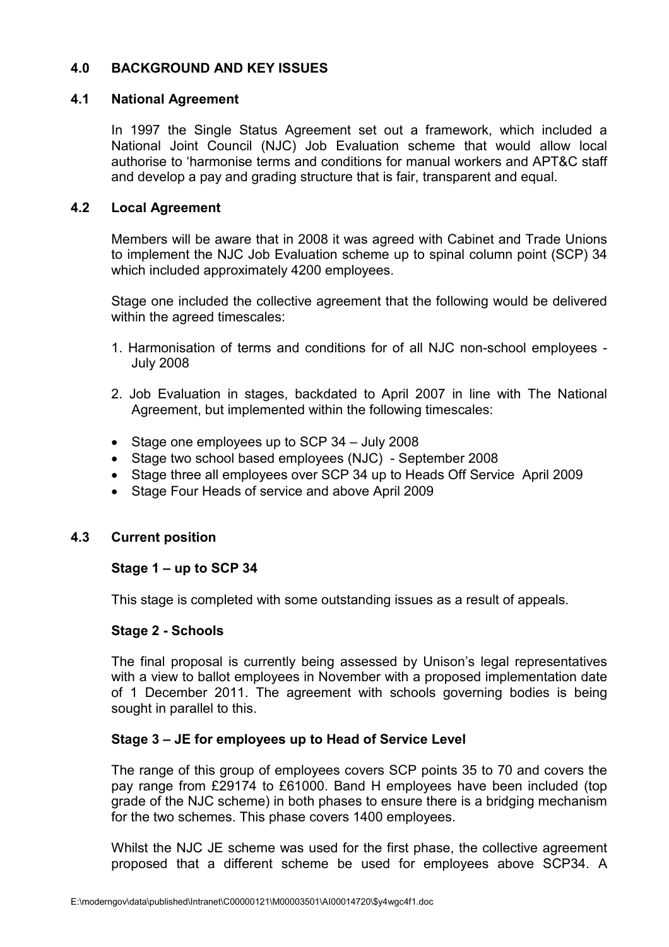### **4.0 BACKGROUND AND KEY ISSUES**

#### **4.1 National Agreement**

In 1997 the Single Status Agreement set out a framework, which included a National Joint Council (NJC) Job Evaluation scheme that would allow local authorise to 'harmonise terms and conditions for manual workers and APT&C staff and develop a pay and grading structure that is fair, transparent and equal.

#### **4.2 Local Agreement**

Members will be aware that in 2008 it was agreed with Cabinet and Trade Unions to implement the NJC Job Evaluation scheme up to spinal column point (SCP) 34 which included approximately 4200 employees.

Stage one included the collective agreement that the following would be delivered within the agreed timescales:

- 1. Harmonisation of terms and conditions for of all NJC non-school employees July 2008
- 2. Job Evaluation in stages, backdated to April 2007 in line with The National Agreement, but implemented within the following timescales:
- Stage one employees up to SCP 34 July 2008
- Stage two school based employees (NJC) September 2008
- Stage three all employees over SCP 34 up to Heads Off Service April 2009
- Stage Four Heads of service and above April 2009

#### **4.3 Current position**

#### **Stage 1 – up to SCP 34**

This stage is completed with some outstanding issues as a result of appeals.

#### **Stage 2 - Schools**

The final proposal is currently being assessed by Unison's legal representatives with a view to ballot employees in November with a proposed implementation date of 1 December 2011. The agreement with schools governing bodies is being sought in parallel to this.

#### **Stage 3 – JE for employees up to Head of Service Level**

The range of this group of employees covers SCP points 35 to 70 and covers the pay range from £29174 to £61000. Band H employees have been included (top grade of the NJC scheme) in both phases to ensure there is a bridging mechanism for the two schemes. This phase covers 1400 employees.

Whilst the NJC JE scheme was used for the first phase, the collective agreement proposed that a different scheme be used for employees above SCP34. A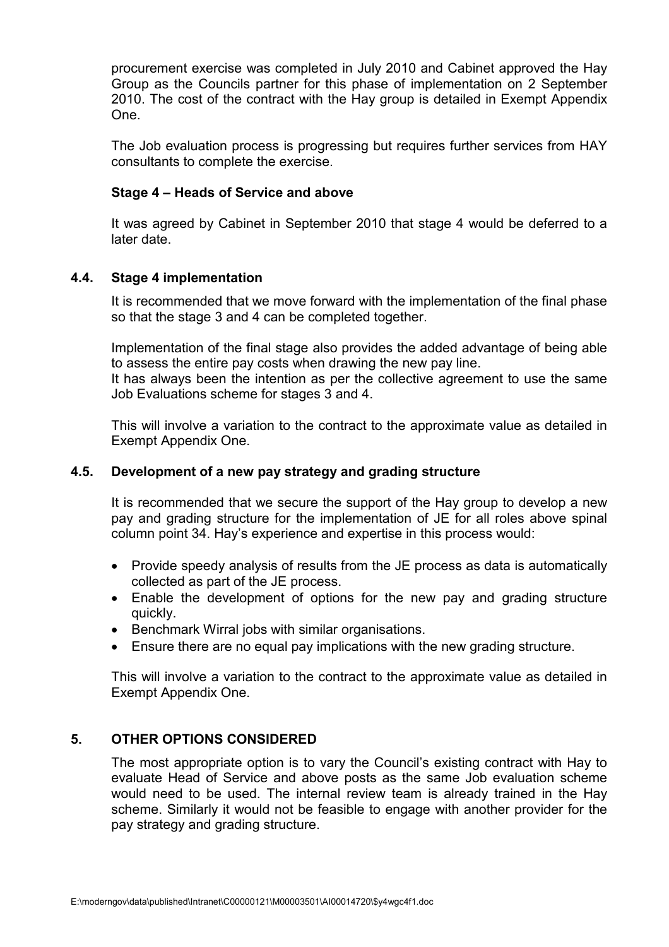procurement exercise was completed in July 2010 and Cabinet approved the Hay Group as the Councils partner for this phase of implementation on 2 September 2010. The cost of the contract with the Hay group is detailed in Exempt Appendix One.

The Job evaluation process is progressing but requires further services from HAY consultants to complete the exercise.

### **Stage 4 – Heads of Service and above**

It was agreed by Cabinet in September 2010 that stage 4 would be deferred to a later date.

### **4.4. Stage 4 implementation**

It is recommended that we move forward with the implementation of the final phase so that the stage 3 and 4 can be completed together.

Implementation of the final stage also provides the added advantage of being able to assess the entire pay costs when drawing the new pay line.

It has always been the intention as per the collective agreement to use the same Job Evaluations scheme for stages 3 and 4.

This will involve a variation to the contract to the approximate value as detailed in Exempt Appendix One.

### **4.5. Development of a new pay strategy and grading structure**

It is recommended that we secure the support of the Hay group to develop a new pay and grading structure for the implementation of JE for all roles above spinal column point 34. Hay's experience and expertise in this process would:

- Provide speedy analysis of results from the JE process as data is automatically collected as part of the JE process.
- Enable the development of options for the new pay and grading structure quickly.
- Benchmark Wirral jobs with similar organisations.
- Ensure there are no equal pay implications with the new grading structure.

This will involve a variation to the contract to the approximate value as detailed in Exempt Appendix One.

## **5. OTHER OPTIONS CONSIDERED**

The most appropriate option is to vary the Council's existing contract with Hay to evaluate Head of Service and above posts as the same Job evaluation scheme would need to be used. The internal review team is already trained in the Hay scheme. Similarly it would not be feasible to engage with another provider for the pay strategy and grading structure.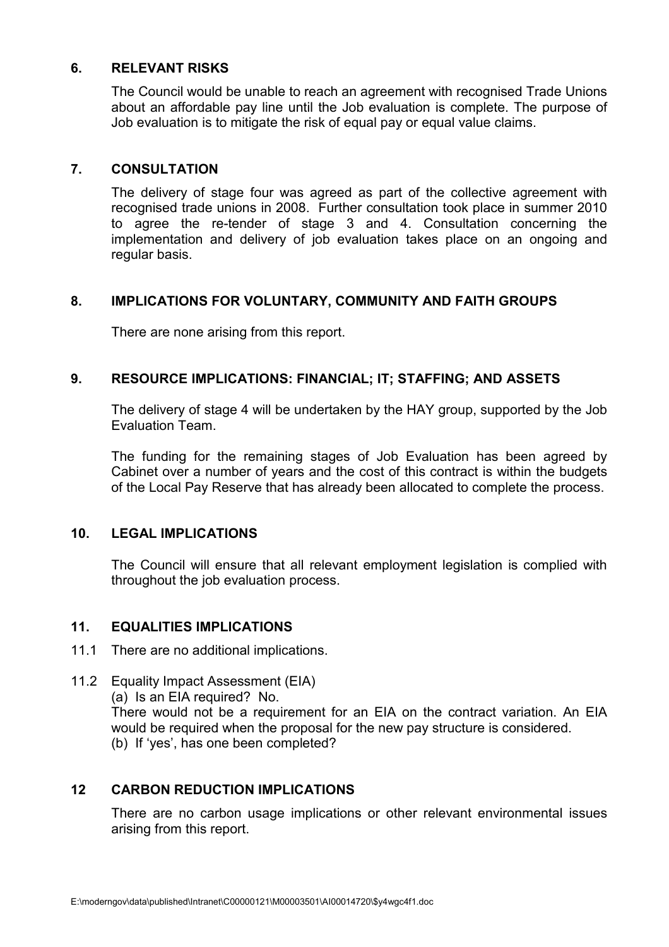### **6. RELEVANT RISKS**

The Council would be unable to reach an agreement with recognised Trade Unions about an affordable pay line until the Job evaluation is complete. The purpose of Job evaluation is to mitigate the risk of equal pay or equal value claims.

### **7. CONSULTATION**

The delivery of stage four was agreed as part of the collective agreement with recognised trade unions in 2008. Further consultation took place in summer 2010 to agree the re-tender of stage 3 and 4. Consultation concerning the implementation and delivery of job evaluation takes place on an ongoing and regular basis.

#### **8. IMPLICATIONS FOR VOLUNTARY, COMMUNITY AND FAITH GROUPS**

There are none arising from this report.

### **9. RESOURCE IMPLICATIONS: FINANCIAL; IT; STAFFING; AND ASSETS**

The delivery of stage 4 will be undertaken by the HAY group, supported by the Job Evaluation Team.

The funding for the remaining stages of Job Evaluation has been agreed by Cabinet over a number of years and the cost of this contract is within the budgets of the Local Pay Reserve that has already been allocated to complete the process.

#### **10. LEGAL IMPLICATIONS**

The Council will ensure that all relevant employment legislation is complied with throughout the job evaluation process.

### **11. EQUALITIES IMPLICATIONS**

- 11.1 There are no additional implications.
- 11.2 Equality Impact Assessment (EIA) (a) Is an EIA required? No. There would not be a requirement for an EIA on the contract variation. An EIA would be required when the proposal for the new pay structure is considered. (b) If 'yes', has one been completed?

### **12 CARBON REDUCTION IMPLICATIONS**

There are no carbon usage implications or other relevant environmental issues arising from this report.